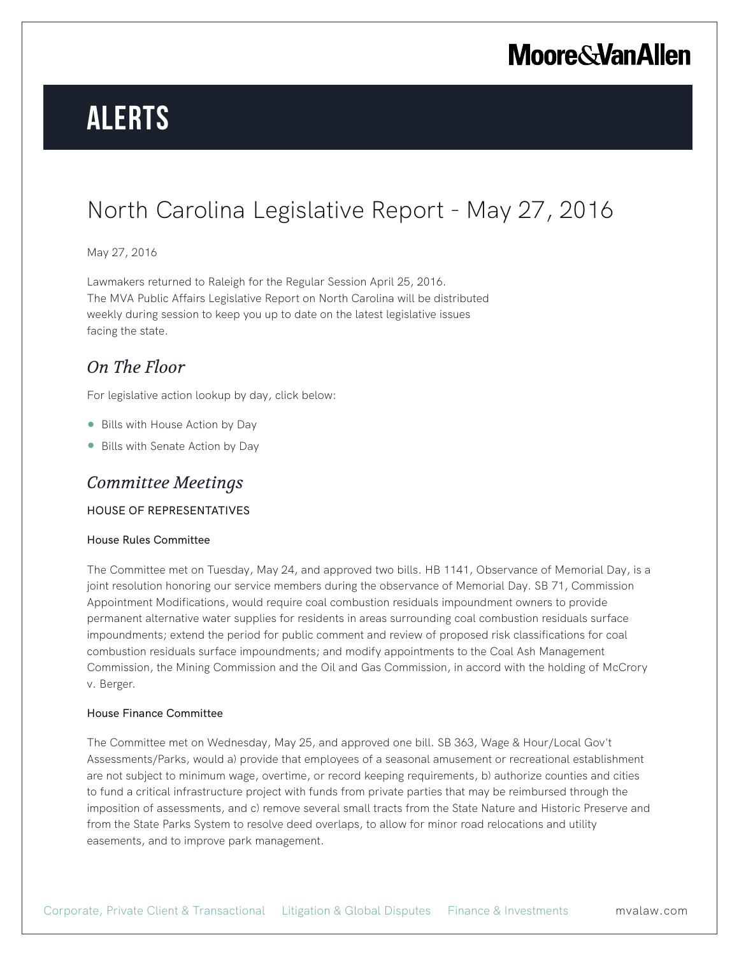# **Alerts**

# North Carolina Legislative Report - May 27, 2016

## May 27, 2016

Lawmakers returned to Raleigh for the Regular Session April 25, 2016. The MVA Public Affairs Legislative Report on North Carolina will be distributed weekly during session to keep you up to date on the latest legislative issues facing the state.

# *On The Floor*

For legislative action lookup by day, click below:

- Bills with House Action by Day
- Bills with Senate Action by Day

# *Committee Meetings*

### HOUSE OF REPRESENTATIVES

#### House Rules Committee

The Committee met on Tuesday, May 24, and approved two bills. HB 1141, Observance of Memorial Day, is a joint resolution honoring our service members during the observance of Memorial Day. SB 71, Commission Appointment Modifications, would require coal combustion residuals impoundment owners to provide permanent alternative water supplies for residents in areas surrounding coal combustion residuals surface impoundments; extend the period for public comment and review of proposed risk classifications for coal combustion residuals surface impoundments; and modify appointments to the Coal Ash Management Commission, the Mining Commission and the Oil and Gas Commission, in accord with the holding of McCrory v. Berger.

#### House Finance Committee

The Committee met on Wednesday, May 25, and approved one bill. SB 363, Wage & Hour/Local Gov't Assessments/Parks, would a) provide that employees of a seasonal amusement or recreational establishment are not subject to minimum wage, overtime, or record keeping requirements, b) authorize counties and cities to fund a critical infrastructure project with funds from private parties that may be reimbursed through the imposition of assessments, and c) remove several small tracts from the State Nature and Historic Preserve and from the State Parks System to resolve deed overlaps, to allow for minor road relocations and utility easements, and to improve park management.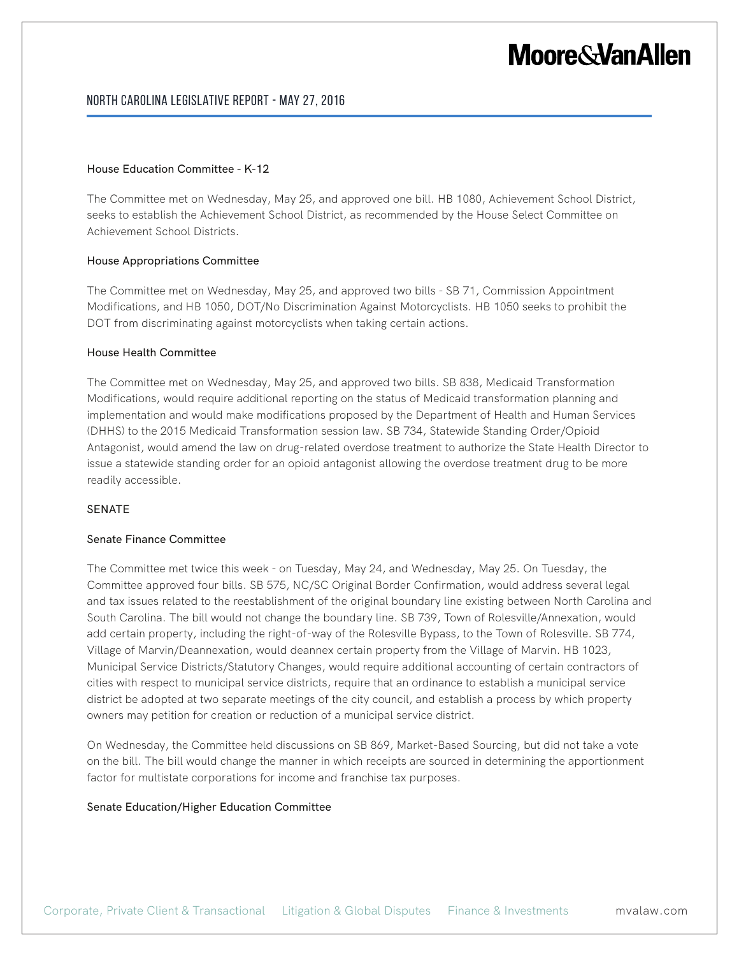### North Carolina Legislative Report - May 27, 2016

#### House Education Committee - K-12

The Committee met on Wednesday, May 25, and approved one bill. HB 1080, Achievement School District, seeks to establish the Achievement School District, as recommended by the House Select Committee on Achievement School Districts.

#### House Appropriations Committee

The Committee met on Wednesday, May 25, and approved two bills - SB 71, Commission Appointment Modifications, and HB 1050, DOT/No Discrimination Against Motorcyclists. HB 1050 seeks to prohibit the DOT from discriminating against motorcyclists when taking certain actions.

#### House Health Committee

The Committee met on Wednesday, May 25, and approved two bills. SB 838, Medicaid Transformation Modifications, would require additional reporting on the status of Medicaid transformation planning and implementation and would make modifications proposed by the Department of Health and Human Services (DHHS) to the 2015 Medicaid Transformation session law. SB 734, Statewide Standing Order/Opioid Antagonist, would amend the law on drug-related overdose treatment to authorize the State Health Director to issue a statewide standing order for an opioid antagonist allowing the overdose treatment drug to be more readily accessible.

#### SENATE

#### Senate Finance Committee

The Committee met twice this week - on Tuesday, May 24, and Wednesday, May 25. On Tuesday, the Committee approved four bills. SB 575, NC/SC Original Border Confirmation, would address several legal and tax issues related to the reestablishment of the original boundary line existing between North Carolina and South Carolina. The bill would not change the boundary line. SB 739, Town of Rolesville/Annexation, would add certain property, including the right-of-way of the Rolesville Bypass, to the Town of Rolesville. SB 774, Village of Marvin/Deannexation, would deannex certain property from the Village of Marvin. HB 1023, Municipal Service Districts/Statutory Changes, would require additional accounting of certain contractors of cities with respect to municipal service districts, require that an ordinance to establish a municipal service district be adopted at two separate meetings of the city council, and establish a process by which property owners may petition for creation or reduction of a municipal service district.

On Wednesday, the Committee held discussions on SB 869, Market-Based Sourcing, but did not take a vote on the bill. The bill would change the manner in which receipts are sourced in determining the apportionment factor for multistate corporations for income and franchise tax purposes.

#### Senate Education/Higher Education Committee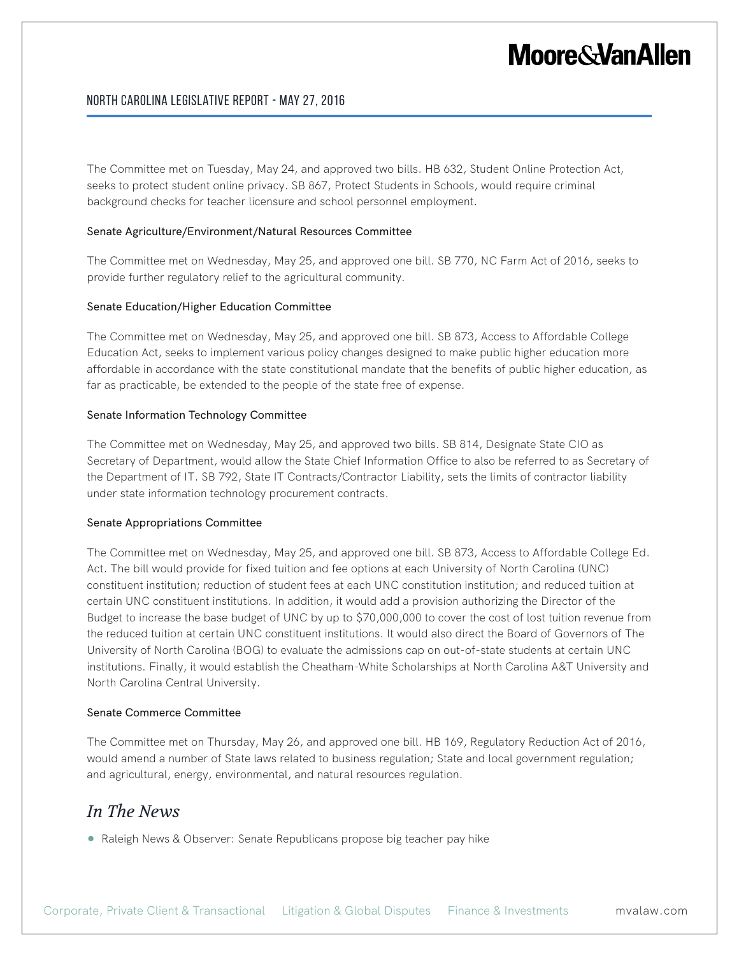## North Carolina Legislative Report - May 27, 2016

The Committee met on Tuesday, May 24, and approved two bills. HB 632, Student Online Protection Act, seeks to protect student online privacy. SB 867, Protect Students in Schools, would require criminal background checks for teacher licensure and school personnel employment.

#### Senate Agriculture/Environment/Natural Resources Committee

The Committee met on Wednesday, May 25, and approved one bill. SB 770, NC Farm Act of 2016, seeks to provide further regulatory relief to the agricultural community.

#### Senate Education/Higher Education Committee

The Committee met on Wednesday, May 25, and approved one bill. SB 873, Access to Affordable College Education Act, seeks to implement various policy changes designed to make public higher education more affordable in accordance with the state constitutional mandate that the benefits of public higher education, as far as practicable, be extended to the people of the state free of expense.

#### Senate Information Technology Committee

The Committee met on Wednesday, May 25, and approved two bills. SB 814, Designate State CIO as Secretary of Department, would allow the State Chief Information Office to also be referred to as Secretary of the Department of IT. SB 792, State IT Contracts/Contractor Liability, sets the limits of contractor liability under state information technology procurement contracts.

#### Senate Appropriations Committee

The Committee met on Wednesday, May 25, and approved one bill. SB 873, Access to Affordable College Ed. Act. The bill would provide for fixed tuition and fee options at each University of North Carolina (UNC) constituent institution; reduction of student fees at each UNC constitution institution; and reduced tuition at certain UNC constituent institutions. In addition, it would add a provision authorizing the Director of the Budget to increase the base budget of UNC by up to \$70,000,000 to cover the cost of lost tuition revenue from the reduced tuition at certain UNC constituent institutions. It would also direct the Board of Governors of The University of North Carolina (BOG) to evaluate the admissions cap on out-of-state students at certain UNC institutions. Finally, it would establish the Cheatham-White Scholarships at North Carolina A&T University and North Carolina Central University.

#### Senate Commerce Committee

The Committee met on Thursday, May 26, and approved one bill. HB 169, Regulatory Reduction Act of 2016, would amend a number of State laws related to business regulation; State and local government regulation; and agricultural, energy, environmental, and natural resources regulation.

# *In The News*

● Raleigh News & Observer: Senate Republicans propose big teacher pay hike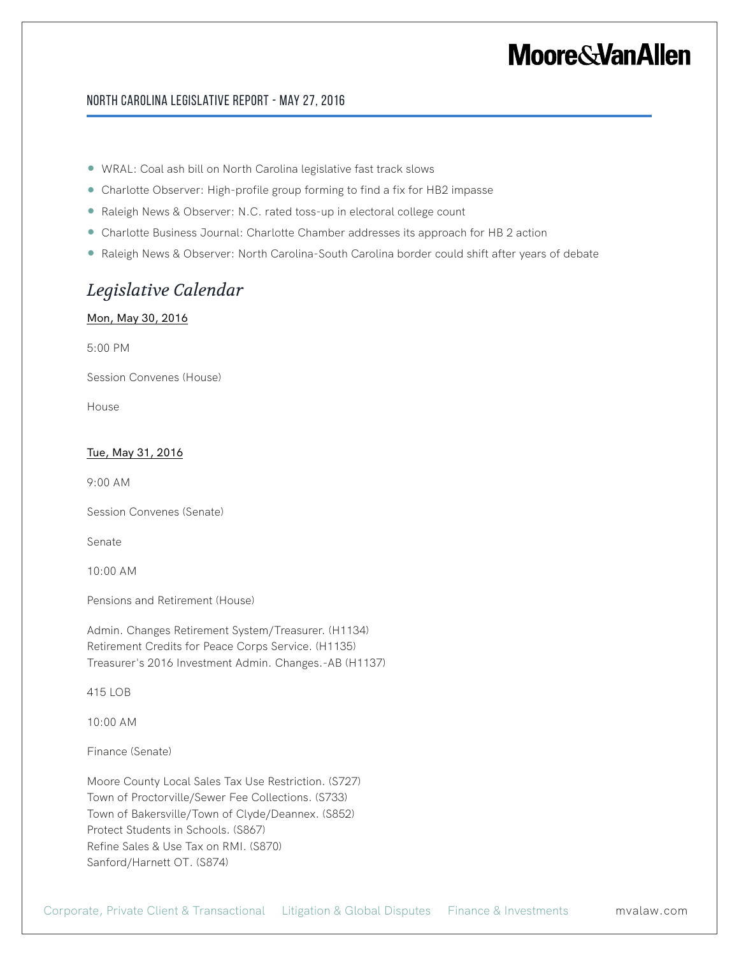### North Carolina Legislative Report - May 27, 2016

- WRAL: Coal ash bill on North Carolina legislative fast track slows
- Charlotte Observer: High-profile group forming to find a fix for HB2 impasse
- Raleigh News & Observer: N.C. rated toss-up in electoral college count
- Charlotte Business Journal: Charlotte Chamber addresses its approach for HB 2 action
- Raleigh News & Observer: North Carolina-South Carolina border could shift after years of debate

# *Legislative Calendar*

### Mon, May 30, 2016

5:00 PM

Session Convenes (House)

House

### Tue, May 31, 2016

9:00 AM

Session Convenes (Senate)

Senate

10:00 AM

Pensions and Retirement (House)

Admin. Changes Retirement System/Treasurer. (H1134) Retirement Credits for Peace Corps Service. (H1135) Treasurer's 2016 Investment Admin. Changes.-AB (H1137)

415 LOB

10:00 AM

Finance (Senate)

Moore County Local Sales Tax Use Restriction. (S727) Town of Proctorville/Sewer Fee Collections. (S733) Town of Bakersville/Town of Clyde/Deannex. (S852) Protect Students in Schools. (S867) Refine Sales & Use Tax on RMI. (S870) Sanford/Harnett OT. (S874)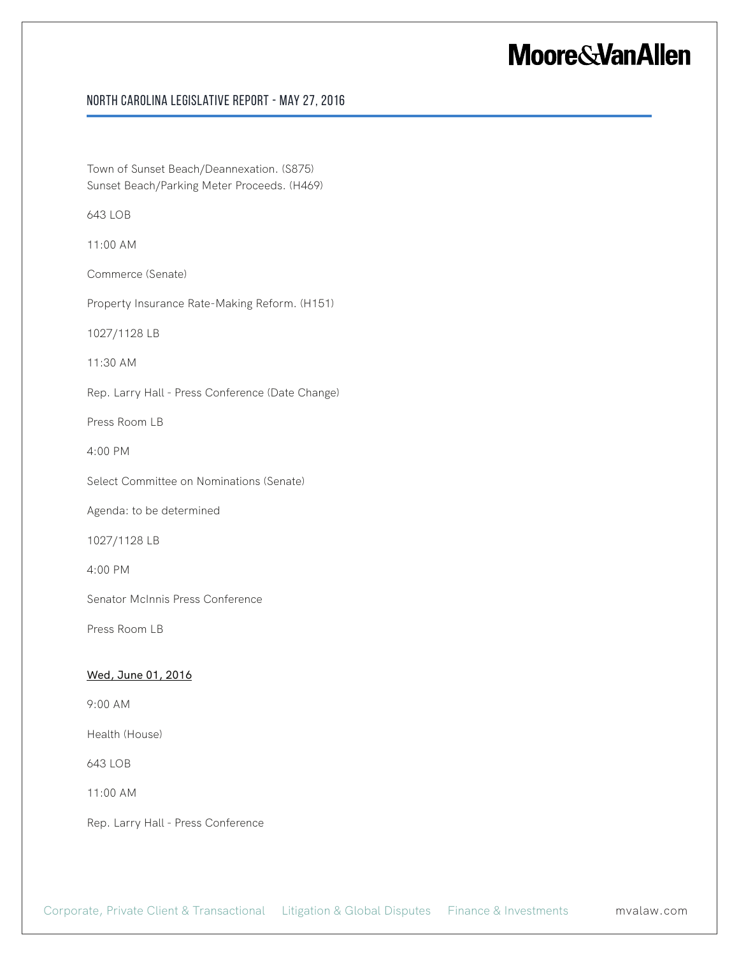## North Carolina Legislative Report - May 27, 2016

Town of Sunset Beach/Deannexation. (S875) Sunset Beach/Parking Meter Proceeds. (H469)

643 LOB

11:00 AM

Commerce (Senate)

Property Insurance Rate-Making Reform. (H151)

1027/1128 LB

11:30 AM

Rep. Larry Hall - Press Conference (Date Change)

Press Room LB

4:00 PM

Select Committee on Nominations (Senate)

Agenda: to be determined

1027/1128 LB

4:00 PM

Senator McInnis Press Conference

Press Room LB

#### Wed, June 01, 2016

9:00 AM

Health (House)

643 LOB

11:00 AM

Rep. Larry Hall - Press Conference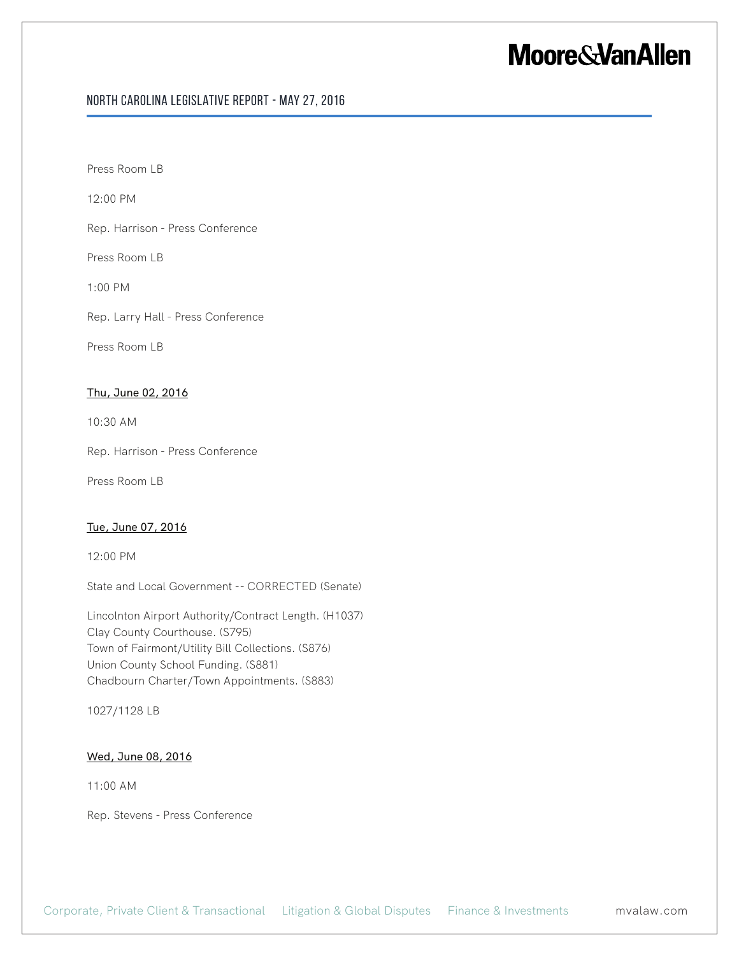## North Carolina Legislative Report - May 27, 2016

Press Room LB

12:00 PM

Rep. Harrison - Press Conference

Press Room LB

1:00 PM

Rep. Larry Hall - Press Conference

Press Room LB

#### Thu, June 02, 2016

10:30 AM

Rep. Harrison - Press Conference

Press Room LB

#### Tue, June 07, 2016

12:00 PM

State and Local Government -- CORRECTED (Senate)

Lincolnton Airport Authority/Contract Length. (H1037) Clay County Courthouse. (S795) Town of Fairmont/Utility Bill Collections. (S876) Union County School Funding. (S881) Chadbourn Charter/Town Appointments. (S883)

1027/1128 LB

### Wed, June 08, 2016

11:00 AM

Rep. Stevens - Press Conference